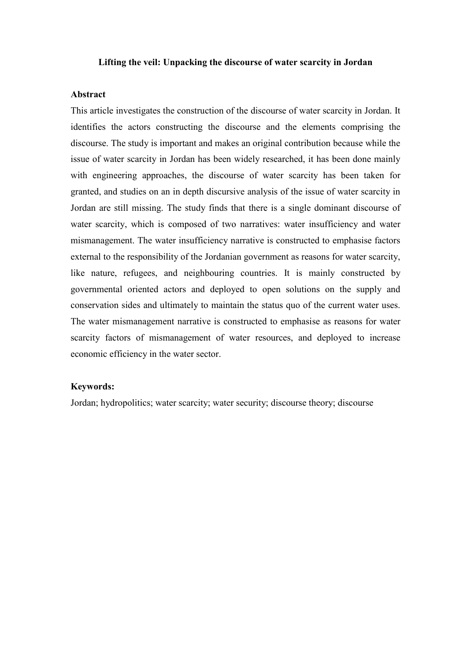### **Lifting the veil: Unpacking the discourse of water scarcity in Jordan**

# **Abstract**

This article investigates the construction of the discourse of water scarcity in Jordan. It identifies the actors constructing the discourse and the elements comprising the discourse. The study is important and makes an original contribution because while the issue of water scarcity in Jordan has been widely researched, it has been done mainly with engineering approaches, the discourse of water scarcity has been taken for granted, and studies on an in depth discursive analysis of the issue of water scarcity in Jordan are still missing. The study finds that there is a single dominant discourse of water scarcity, which is composed of two narratives: water insufficiency and water mismanagement. The water insufficiency narrative is constructed to emphasise factors external to the responsibility of the Jordanian government as reasons for water scarcity, like nature, refugees, and neighbouring countries. It is mainly constructed by governmental oriented actors and deployed to open solutions on the supply and conservation sides and ultimately to maintain the status quo of the current water uses. The water mismanagement narrative is constructed to emphasise as reasons for water scarcity factors of mismanagement of water resources, and deployed to increase economic efficiency in the water sector.

## **Keywords:**

Jordan; hydropolitics; water scarcity; water security; discourse theory; discourse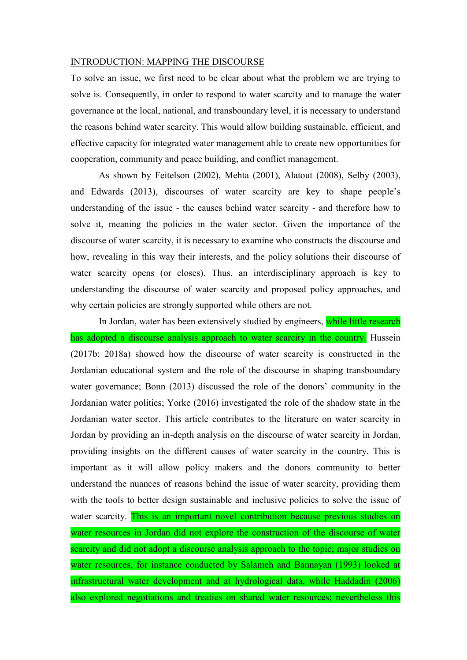#### INTRODUCTION: MAPPING THE DISCOURSE

To solve an issue, we first need to be clear about what the problem we are trying to solve is. Consequently, in order to respond to water scarcity and to manage the water governance at the local, national, and transboundary level, it is necessary to understand the reasons behind water scarcity. This would allow building sustainable, efficient, and effective capacity for integrated water management able to create new opportunities for cooperation, community and peace building, and conflict management.

As shown by Feitelson (2002), Mehta (2001), Alatout (2008), Selby (2003), and Edwards (2013), discourses of water scarcity are key to shape people's understanding of the issue - the causes behind water scarcity - and therefore how to solve it, meaning the policies in the water sector. Given the importance of the discourse of water scarcity, it is necessary to examine who constructs the discourse and how, revealing in this way their interests, and the policy solutions their discourse of water scarcity opens (or closes). Thus, an interdisciplinary approach is key to understanding the discourse of water scarcity and proposed policy approaches, and why certain policies are strongly supported while others are not.

In Jordan, water has been extensively studied by engineers, while little research has adopted a discourse analysis approach to water scarcity in the country. Hussein (2017b; 2018a) showed how the discourse of water scarcity is constructed in the Jordanian educational system and the role of the discourse in shaping transboundary water governance; Bonn (2013) discussed the role of the donors' community in the Jordanian water politics; Yorke (2016) investigated the role of the shadow state in the Jordanian water sector. This article contributes to the literature on water scarcity in Jordan by providing an in-depth analysis on the discourse of water scarcity in Jordan, providing insights on the different causes of water scarcity in the country. This is important as it will allow policy makers and the donors community to better understand the nuances of reasons behind the issue of water scarcity, providing them with the tools to better design sustainable and inclusive policies to solve the issue of water scarcity. This is an important novel contribution because previous studies on water resources in Jordan did not explore the construction of the discourse of water scarcity and did not adopt a discourse analysis approach to the topic; major studies on water resources, for instance conducted by Salameh and Bannayan (1993) looked at infrastructural water development and at hydrological data, while Haddadin (2006) also explored negotiations and treaties on shared water resources; nevertheless this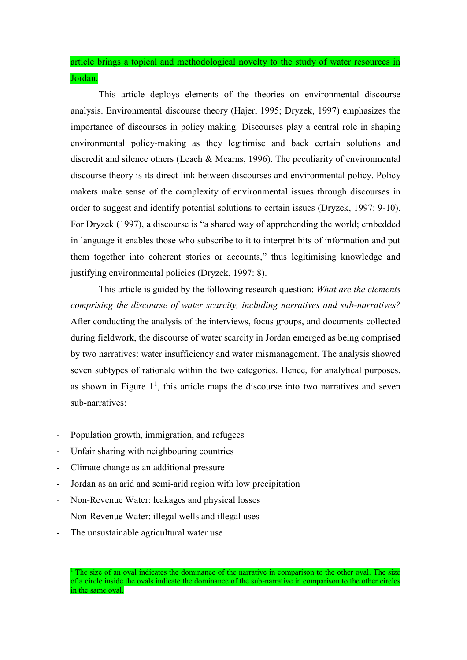article brings a topical and methodological novelty to the study of water resources in Jordan.

This article deploys elements of the theories on environmental discourse analysis. Environmental discourse theory (Hajer, 1995; Dryzek, 1997) emphasizes the importance of discourses in policy making. Discourses play a central role in shaping environmental policy-making as they legitimise and back certain solutions and discredit and silence others (Leach & Mearns, 1996). The peculiarity of environmental discourse theory is its direct link between discourses and environmental policy. Policy makers make sense of the complexity of environmental issues through discourses in order to suggest and identify potential solutions to certain issues (Dryzek, 1997: 9-10). For Dryzek (1997), a discourse is "a shared way of apprehending the world; embedded in language it enables those who subscribe to it to interpret bits of information and put them together into coherent stories or accounts," thus legitimising knowledge and justifying environmental policies (Dryzek, 1997: 8).

This article is guided by the following research question: *What are the elements comprising the discourse of water scarcity, including narratives and sub-narratives?* After conducting the analysis of the interviews, focus groups, and documents collected during fieldwork, the discourse of water scarcity in Jordan emerged as being comprised by two narratives: water insufficiency and water mismanagement. The analysis showed seven subtypes of rationale within the two categories. Hence, for analytical purposes, as shown in Figure  $1<sup>1</sup>$ , this article maps the discourse into two narratives and seven sub-narratives:

- Population growth, immigration, and refugees
- Unfair sharing with neighbouring countries
- Climate change as an additional pressure
- Jordan as an arid and semi-arid region with low precipitation
- Non-Revenue Water: leakages and physical losses
- Non-Revenue Water: illegal wells and illegal uses
- The unsustainable agricultural water use

 $\overline{a}$ 

<sup>1</sup> The size of an oval indicates the dominance of the narrative in comparison to the other oval. The size of a circle inside the ovals indicate the dominance of the sub-narrative in comparison to the other circles in the same oval.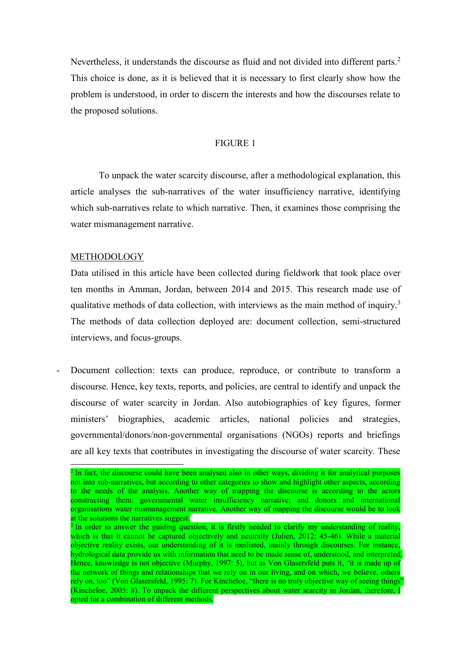Nevertheless, it understands the discourse as fluid and not divided into different parts.<sup>2</sup> This choice is done, as it is believed that it is necessary to first clearly show how the problem is understood, in order to discern the interests and how the discourses relate to the proposed solutions.

# FIGURE 1

To unpack the water scarcity discourse, after a methodological explanation, this article analyses the sub-narratives of the water insufficiency narrative, identifying which sub-narratives relate to which narrative. Then, it examines those comprising the water mismanagement narrative.

## METHODOLOGY

Data utilised in this article have been collected during fieldwork that took place over ten months in Amman, Jordan, between 2014 and 2015. This research made use of qualitative methods of data collection, with interviews as the main method of inquiry.<sup>3</sup> The methods of data collection deployed are: document collection, semi-structured interviews, and focus-groups.

Document collection: texts can produce, reproduce, or contribute to transform a discourse. Hence, key texts, reports, and policies, are central to identify and unpack the discourse of water scarcity in Jordan. Also autobiographies of key figures, former ministers' biographies, academic articles, national policies and strategies, governmental/donors/non-governmental organisations (NGOs) reports and briefings are all key texts that contributes in investigating the discourse of water scarcity. These

<sup>&</sup>lt;sup>2</sup> In fact, the discourse could have been analysed also in other ways, dividing it for analytical purposes not into sub-narratives, but according to other categories to show and highlight other aspects, according to the needs of the analysis. Another way of mapping the discourse is according to the actors constructing them: governmental water insufficiency narrative; and donors and international organisations water mismanagement narrative. Another way of mapping the discourse would be to look at the solutions the narratives suggest.

<sup>&</sup>lt;sup>3</sup> In order to answer the guiding question, it is firstly needed to clarify my understanding of reality, which is that it cannot be captured objectively and neutrally (Julien, 2012: 45-46). While a material objective reality exists, our understanding of it is mediated, mainly through discourses. For instance, hydrological data provide us with information that need to be made sense of, understood, and interpreted. Hence, knowledge is not objective (Murphy, 1997: 5), but as Von Glasersfeld puts it, "it is made up of the network of things and relationships that we rely on in our living, and on which, we believe, others rely on, too" (Von Glasersfeld, 1995: 7). For Kincheloe, "there is no truly objective way of seeing things" (Kincheloe, 2005: 8). To unpack the different perspectives about water scarcity in Jordan, therefore, I opted for a combination of different methods.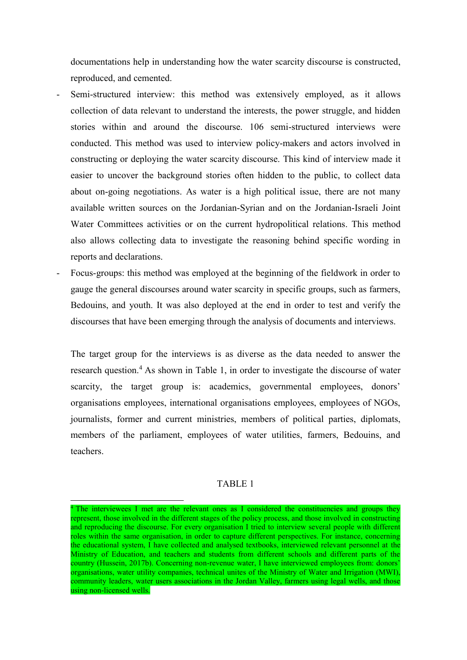documentations help in understanding how the water scarcity discourse is constructed, reproduced, and cemented.

- Semi-structured interview: this method was extensively employed, as it allows collection of data relevant to understand the interests, the power struggle, and hidden stories within and around the discourse. 106 semi-structured interviews were conducted. This method was used to interview policy-makers and actors involved in constructing or deploying the water scarcity discourse. This kind of interview made it easier to uncover the background stories often hidden to the public, to collect data about on-going negotiations. As water is a high political issue, there are not many available written sources on the Jordanian-Syrian and on the Jordanian-Israeli Joint Water Committees activities or on the current hydropolitical relations. This method also allows collecting data to investigate the reasoning behind specific wording in reports and declarations.
- Focus-groups: this method was employed at the beginning of the fieldwork in order to gauge the general discourses around water scarcity in specific groups, such as farmers, Bedouins, and youth. It was also deployed at the end in order to test and verify the discourses that have been emerging through the analysis of documents and interviews.

The target group for the interviews is as diverse as the data needed to answer the research question.<sup>4</sup> As shown in Table 1, in order to investigate the discourse of water scarcity, the target group is: academics, governmental employees, donors' organisations employees, international organisations employees, employees of NGOs, journalists, former and current ministries, members of political parties, diplomats, members of the parliament, employees of water utilities, farmers, Bedouins, and teachers.

# TABLE 1

l

<sup>&</sup>lt;sup>4</sup> The interviewees I met are the relevant ones as I considered the constituencies and groups they represent, those involved in the different stages of the policy process, and those involved in constructing and reproducing the discourse. For every organisation I tried to interview several people with different roles within the same organisation, in order to capture different perspectives. For instance, concerning the educational system, I have collected and analysed textbooks, interviewed relevant personnel at the Ministry of Education, and teachers and students from different schools and different parts of the country (Hussein, 2017b). Concerning non-revenue water, I have interviewed employees from: donors' organisations, water utility companies, technical unites of the Ministry of Water and Irrigation (MWI), community leaders, water users associations in the Jordan Valley, farmers using legal wells, and those using non-licensed wells.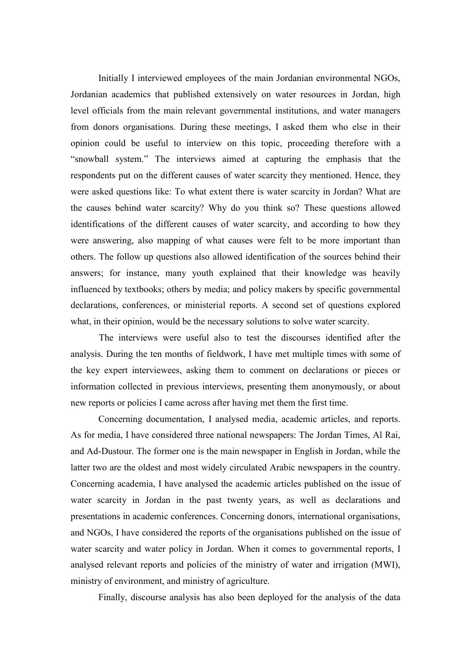Initially I interviewed employees of the main Jordanian environmental NGOs, Jordanian academics that published extensively on water resources in Jordan, high level officials from the main relevant governmental institutions, and water managers from donors organisations. During these meetings, I asked them who else in their opinion could be useful to interview on this topic, proceeding therefore with a "snowball system." The interviews aimed at capturing the emphasis that the respondents put on the different causes of water scarcity they mentioned. Hence, they were asked questions like: To what extent there is water scarcity in Jordan? What are the causes behind water scarcity? Why do you think so? These questions allowed identifications of the different causes of water scarcity, and according to how they were answering, also mapping of what causes were felt to be more important than others. The follow up questions also allowed identification of the sources behind their answers; for instance, many youth explained that their knowledge was heavily influenced by textbooks; others by media; and policy makers by specific governmental declarations, conferences, or ministerial reports. A second set of questions explored what, in their opinion, would be the necessary solutions to solve water scarcity.

The interviews were useful also to test the discourses identified after the analysis. During the ten months of fieldwork, I have met multiple times with some of the key expert interviewees, asking them to comment on declarations or pieces or information collected in previous interviews, presenting them anonymously, or about new reports or policies I came across after having met them the first time.

Concerning documentation, I analysed media, academic articles, and reports. As for media, I have considered three national newspapers: The Jordan Times, Al Rai, and Ad-Dustour. The former one is the main newspaper in English in Jordan, while the latter two are the oldest and most widely circulated Arabic newspapers in the country. Concerning academia, I have analysed the academic articles published on the issue of water scarcity in Jordan in the past twenty years, as well as declarations and presentations in academic conferences. Concerning donors, international organisations, and NGOs, I have considered the reports of the organisations published on the issue of water scarcity and water policy in Jordan. When it comes to governmental reports, I analysed relevant reports and policies of the ministry of water and irrigation (MWI), ministry of environment, and ministry of agriculture.

Finally, discourse analysis has also been deployed for the analysis of the data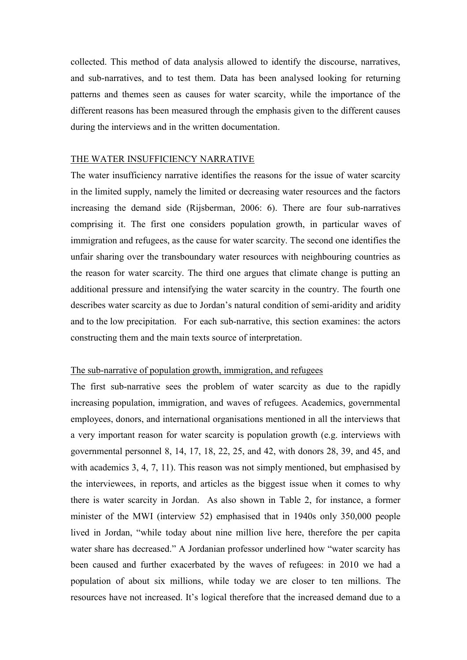collected. This method of data analysis allowed to identify the discourse, narratives, and sub-narratives, and to test them. Data has been analysed looking for returning patterns and themes seen as causes for water scarcity, while the importance of the different reasons has been measured through the emphasis given to the different causes during the interviews and in the written documentation.

## THE WATER INSUFFICIENCY NARRATIVE

The water insufficiency narrative identifies the reasons for the issue of water scarcity in the limited supply, namely the limited or decreasing water resources and the factors increasing the demand side (Rijsberman, 2006: 6). There are four sub-narratives comprising it. The first one considers population growth, in particular waves of immigration and refugees, as the cause for water scarcity. The second one identifies the unfair sharing over the transboundary water resources with neighbouring countries as the reason for water scarcity. The third one argues that climate change is putting an additional pressure and intensifying the water scarcity in the country. The fourth one describes water scarcity as due to Jordan's natural condition of semi-aridity and aridity and to the low precipitation. For each sub-narrative, this section examines: the actors constructing them and the main texts source of interpretation.

# The sub-narrative of population growth, immigration, and refugees

The first sub-narrative sees the problem of water scarcity as due to the rapidly increasing population, immigration, and waves of refugees. Academics, governmental employees, donors, and international organisations mentioned in all the interviews that a very important reason for water scarcity is population growth (e.g. interviews with governmental personnel 8, 14, 17, 18, 22, 25, and 42, with donors 28, 39, and 45, and with academics 3, 4, 7, 11). This reason was not simply mentioned, but emphasised by the interviewees, in reports, and articles as the biggest issue when it comes to why there is water scarcity in Jordan. As also shown in Table 2, for instance, a former minister of the MWI (interview 52) emphasised that in 1940s only 350,000 people lived in Jordan, "while today about nine million live here, therefore the per capita water share has decreased." A Jordanian professor underlined how "water scarcity has been caused and further exacerbated by the waves of refugees: in 2010 we had a population of about six millions, while today we are closer to ten millions. The resources have not increased. It's logical therefore that the increased demand due to a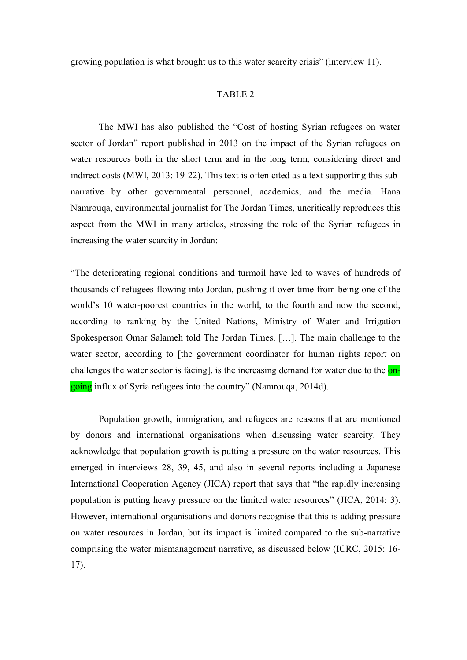growing population is what brought us to this water scarcity crisis" (interview 11).

### TABLE 2

The MWI has also published the "Cost of hosting Syrian refugees on water sector of Jordan" report published in 2013 on the impact of the Syrian refugees on water resources both in the short term and in the long term, considering direct and indirect costs (MWI, 2013: 19-22). This text is often cited as a text supporting this subnarrative by other governmental personnel, academics, and the media. Hana Namrouqa, environmental journalist for The Jordan Times, uncritically reproduces this aspect from the MWI in many articles, stressing the role of the Syrian refugees in increasing the water scarcity in Jordan:

"The deteriorating regional conditions and turmoil have led to waves of hundreds of thousands of refugees flowing into Jordan, pushing it over time from being one of the world's 10 water-poorest countries in the world, to the fourth and now the second, according to ranking by the United Nations, Ministry of Water and Irrigation Spokesperson Omar Salameh told The Jordan Times. […]. The main challenge to the water sector, according to [the government coordinator for human rights report on challenges the water sector is facing], is the increasing demand for water due to the ongoing influx of Syria refugees into the country" (Namrouqa, 2014d).

Population growth, immigration, and refugees are reasons that are mentioned by donors and international organisations when discussing water scarcity. They acknowledge that population growth is putting a pressure on the water resources. This emerged in interviews 28, 39, 45, and also in several reports including a Japanese International Cooperation Agency (JICA) report that says that "the rapidly increasing population is putting heavy pressure on the limited water resources" (JICA, 2014: 3). However, international organisations and donors recognise that this is adding pressure on water resources in Jordan, but its impact is limited compared to the sub-narrative comprising the water mismanagement narrative, as discussed below (ICRC, 2015: 16- 17).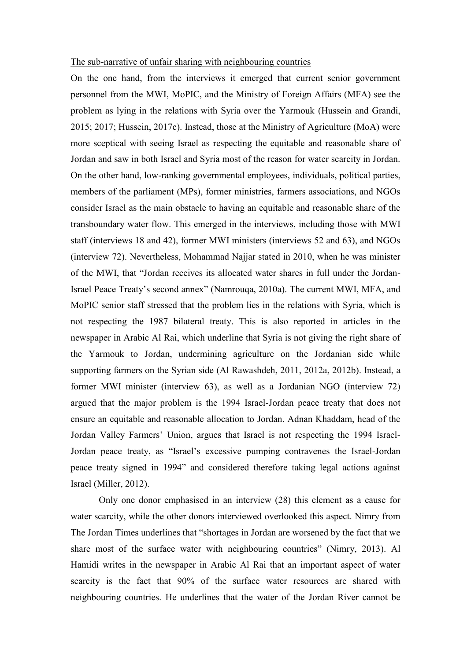#### The sub-narrative of unfair sharing with neighbouring countries

On the one hand, from the interviews it emerged that current senior government personnel from the MWI, MoPIC, and the Ministry of Foreign Affairs (MFA) see the problem as lying in the relations with Syria over the Yarmouk (Hussein and Grandi, 2015; 2017; Hussein, 2017c). Instead, those at the Ministry of Agriculture (MoA) were more sceptical with seeing Israel as respecting the equitable and reasonable share of Jordan and saw in both Israel and Syria most of the reason for water scarcity in Jordan. On the other hand, low-ranking governmental employees, individuals, political parties, members of the parliament (MPs), former ministries, farmers associations, and NGOs consider Israel as the main obstacle to having an equitable and reasonable share of the transboundary water flow. This emerged in the interviews, including those with MWI staff (interviews 18 and 42), former MWI ministers (interviews 52 and 63), and NGOs (interview 72). Nevertheless, Mohammad Najjar stated in 2010, when he was minister of the MWI, that "Jordan receives its allocated water shares in full under the Jordan-Israel Peace Treaty's second annex" (Namrouqa, 2010a). The current MWI, MFA, and MoPIC senior staff stressed that the problem lies in the relations with Syria, which is not respecting the 1987 bilateral treaty. This is also reported in articles in the newspaper in Arabic Al Rai, which underline that Syria is not giving the right share of the Yarmouk to Jordan, undermining agriculture on the Jordanian side while supporting farmers on the Syrian side (Al Rawashdeh, 2011, 2012a, 2012b). Instead, a former MWI minister (interview 63), as well as a Jordanian NGO (interview 72) argued that the major problem is the 1994 Israel-Jordan peace treaty that does not ensure an equitable and reasonable allocation to Jordan. Adnan Khaddam, head of the Jordan Valley Farmers' Union, argues that Israel is not respecting the 1994 Israel-Jordan peace treaty, as "Israel's excessive pumping contravenes the Israel-Jordan peace treaty signed in 1994" and considered therefore taking legal actions against Israel (Miller, 2012).

Only one donor emphasised in an interview (28) this element as a cause for water scarcity, while the other donors interviewed overlooked this aspect. Nimry from The Jordan Times underlines that "shortages in Jordan are worsened by the fact that we share most of the surface water with neighbouring countries" (Nimry, 2013). Al Hamidi writes in the newspaper in Arabic Al Rai that an important aspect of water scarcity is the fact that 90% of the surface water resources are shared with neighbouring countries. He underlines that the water of the Jordan River cannot be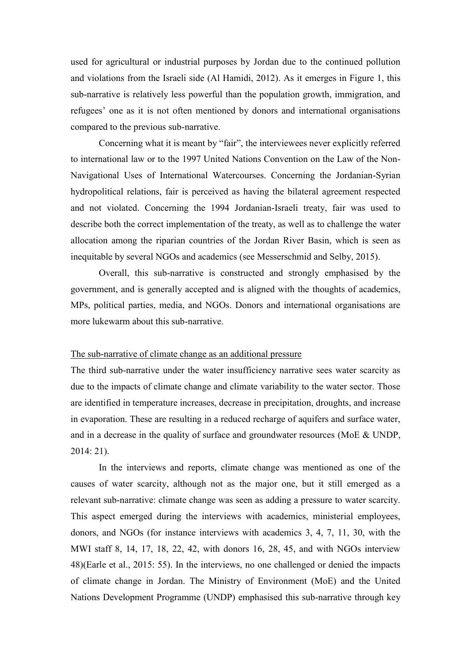used for agricultural or industrial purposes by Jordan due to the continued pollution and violations from the Israeli side (Al Hamidi, 2012). As it emerges in Figure 1, this sub-narrative is relatively less powerful than the population growth, immigration, and refugees' one as it is not often mentioned by donors and international organisations compared to the previous sub-narrative.

Concerning what it is meant by "fair", the interviewees never explicitly referred to international law or to the 1997 United Nations Convention on the Law of the Non-Navigational Uses of International Watercourses. Concerning the Jordanian-Syrian hydropolitical relations, fair is perceived as having the bilateral agreement respected and not violated. Concerning the 1994 Jordanian-Israeli treaty, fair was used to describe both the correct implementation of the treaty, as well as to challenge the water allocation among the riparian countries of the Jordan River Basin, which is seen as inequitable by several NGOs and academics (see Messerschmid and Selby, 2015).

Overall, this sub-narrative is constructed and strongly emphasised by the government, and is generally accepted and is aligned with the thoughts of academics, MPs, political parties, media, and NGOs. Donors and international organisations are more lukewarm about this sub-narrative.

#### The sub-narrative of climate change as an additional pressure

The third sub-narrative under the water insufficiency narrative sees water scarcity as due to the impacts of climate change and climate variability to the water sector. Those are identified in temperature increases, decrease in precipitation, droughts, and increase in evaporation. These are resulting in a reduced recharge of aquifers and surface water, and in a decrease in the quality of surface and groundwater resources (MoE & UNDP, 2014: 21).

In the interviews and reports, climate change was mentioned as one of the causes of water scarcity, although not as the major one, but it still emerged as a relevant sub-narrative: climate change was seen as adding a pressure to water scarcity. This aspect emerged during the interviews with academics, ministerial employees, donors, and NGOs (for instance interviews with academics 3, 4, 7, 11, 30, with the MWI staff 8, 14, 17, 18, 22, 42, with donors 16, 28, 45, and with NGOs interview 48)(Earle et al., 2015: 55). In the interviews, no one challenged or denied the impacts of climate change in Jordan. The Ministry of Environment (MoE) and the United Nations Development Programme (UNDP) emphasised this sub-narrative through key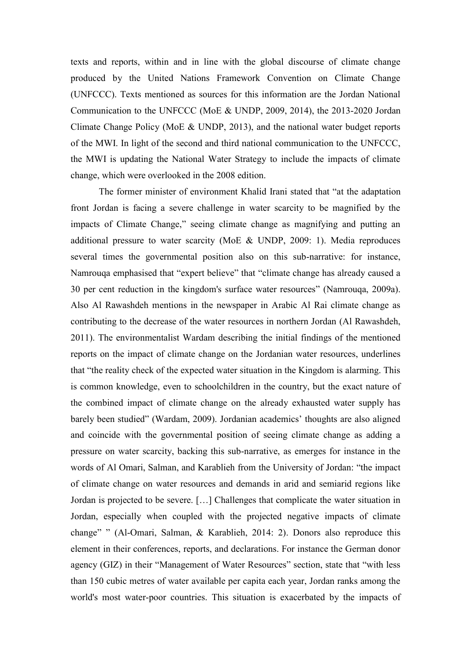texts and reports, within and in line with the global discourse of climate change produced by the United Nations Framework Convention on Climate Change (UNFCCC). Texts mentioned as sources for this information are the Jordan National Communication to the UNFCCC (MoE & UNDP, 2009, 2014), the 2013-2020 Jordan Climate Change Policy (MoE & UNDP, 2013), and the national water budget reports of the MWI. In light of the second and third national communication to the UNFCCC, the MWI is updating the National Water Strategy to include the impacts of climate change, which were overlooked in the 2008 edition.

The former minister of environment Khalid Irani stated that "at the adaptation front Jordan is facing a severe challenge in water scarcity to be magnified by the impacts of Climate Change," seeing climate change as magnifying and putting an additional pressure to water scarcity (MoE & UNDP, 2009: 1). Media reproduces several times the governmental position also on this sub-narrative: for instance, Namrouqa emphasised that "expert believe" that "climate change has already caused a 30 per cent reduction in the kingdom's surface water resources" (Namrouqa, 2009a). Also Al Rawashdeh mentions in the newspaper in Arabic Al Rai climate change as contributing to the decrease of the water resources in northern Jordan (Al Rawashdeh, 2011). The environmentalist Wardam describing the initial findings of the mentioned reports on the impact of climate change on the Jordanian water resources, underlines that "the reality check of the expected water situation in the Kingdom is alarming. This is common knowledge, even to schoolchildren in the country, but the exact nature of the combined impact of climate change on the already exhausted water supply has barely been studied" (Wardam, 2009). Jordanian academics' thoughts are also aligned and coincide with the governmental position of seeing climate change as adding a pressure on water scarcity, backing this sub-narrative, as emerges for instance in the words of Al Omari, Salman, and Karablieh from the University of Jordan: "the impact of climate change on water resources and demands in arid and semiarid regions like Jordan is projected to be severe. […] Challenges that complicate the water situation in Jordan, especially when coupled with the projected negative impacts of climate change" " (Al-Omari, Salman, & Karablieh, 2014: 2). Donors also reproduce this element in their conferences, reports, and declarations. For instance the German donor agency (GIZ) in their "Management of Water Resources" section, state that "with less than 150 cubic metres of water available per capita each year, Jordan ranks among the world's most water-poor countries. This situation is exacerbated by the impacts of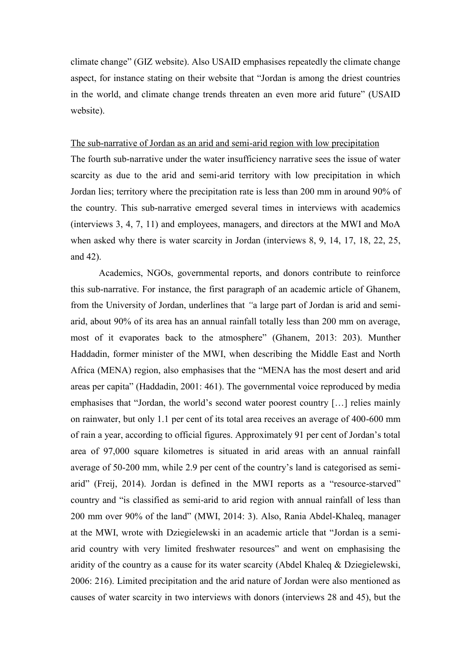climate change" (GIZ website). Also USAID emphasises repeatedly the climate change aspect, for instance stating on their website that "Jordan is among the driest countries in the world, and climate change trends threaten an even more arid future" (USAID website).

### The sub-narrative of Jordan as an arid and semi-arid region with low precipitation

The fourth sub-narrative under the water insufficiency narrative sees the issue of water scarcity as due to the arid and semi-arid territory with low precipitation in which Jordan lies; territory where the precipitation rate is less than 200 mm in around 90% of the country. This sub-narrative emerged several times in interviews with academics (interviews 3, 4, 7, 11) and employees, managers, and directors at the MWI and MoA when asked why there is water scarcity in Jordan (interviews 8, 9, 14, 17, 18, 22, 25, and 42).

Academics, NGOs, governmental reports, and donors contribute to reinforce this sub-narrative. For instance, the first paragraph of an academic article of Ghanem, from the University of Jordan, underlines that *"*a large part of Jordan is arid and semiarid, about 90% of its area has an annual rainfall totally less than 200 mm on average, most of it evaporates back to the atmosphere" (Ghanem, 2013: 203). Munther Haddadin, former minister of the MWI, when describing the Middle East and North Africa (MENA) region, also emphasises that the "MENA has the most desert and arid areas per capita" (Haddadin, 2001: 461). The governmental voice reproduced by media emphasises that "Jordan, the world's second water poorest country […] relies mainly on rainwater, but only 1.1 per cent of its total area receives an average of 400-600 mm of rain a year, according to official figures. Approximately 91 per cent of Jordan's total area of 97,000 square kilometres is situated in arid areas with an annual rainfall average of 50-200 mm, while 2.9 per cent of the country's land is categorised as semiarid" (Freij, 2014). Jordan is defined in the MWI reports as a "resource-starved" country and "is classified as semi-arid to arid region with annual rainfall of less than 200 mm over 90% of the land" (MWI, 2014: 3). Also, Rania Abdel-Khaleq, manager at the MWI, wrote with Dziegielewski in an academic article that "Jordan is a semiarid country with very limited freshwater resources" and went on emphasising the aridity of the country as a cause for its water scarcity (Abdel Khaleq & Dziegielewski, 2006: 216). Limited precipitation and the arid nature of Jordan were also mentioned as causes of water scarcity in two interviews with donors (interviews 28 and 45), but the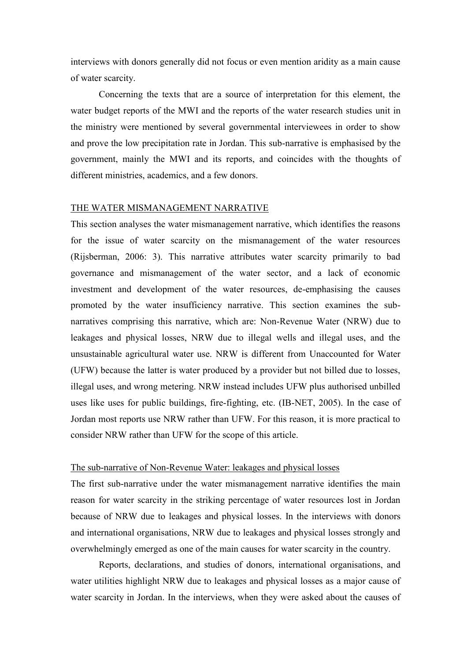interviews with donors generally did not focus or even mention aridity as a main cause of water scarcity.

Concerning the texts that are a source of interpretation for this element, the water budget reports of the MWI and the reports of the water research studies unit in the ministry were mentioned by several governmental interviewees in order to show and prove the low precipitation rate in Jordan. This sub-narrative is emphasised by the government, mainly the MWI and its reports, and coincides with the thoughts of different ministries, academics, and a few donors.

## THE WATER MISMANAGEMENT NARRATIVE

This section analyses the water mismanagement narrative, which identifies the reasons for the issue of water scarcity on the mismanagement of the water resources (Rijsberman, 2006: 3). This narrative attributes water scarcity primarily to bad governance and mismanagement of the water sector, and a lack of economic investment and development of the water resources, de-emphasising the causes promoted by the water insufficiency narrative. This section examines the subnarratives comprising this narrative, which are: Non-Revenue Water (NRW) due to leakages and physical losses, NRW due to illegal wells and illegal uses, and the unsustainable agricultural water use. NRW is different from Unaccounted for Water (UFW) because the latter is water produced by a provider but not billed due to losses, illegal uses, and wrong metering. NRW instead includes UFW plus authorised unbilled uses like uses for public buildings, fire-fighting, etc. (IB-NET, 2005). In the case of Jordan most reports use NRW rather than UFW. For this reason, it is more practical to consider NRW rather than UFW for the scope of this article.

# The sub-narrative of Non-Revenue Water: leakages and physical losses

The first sub-narrative under the water mismanagement narrative identifies the main reason for water scarcity in the striking percentage of water resources lost in Jordan because of NRW due to leakages and physical losses. In the interviews with donors and international organisations, NRW due to leakages and physical losses strongly and overwhelmingly emerged as one of the main causes for water scarcity in the country.

Reports, declarations, and studies of donors, international organisations, and water utilities highlight NRW due to leakages and physical losses as a major cause of water scarcity in Jordan. In the interviews, when they were asked about the causes of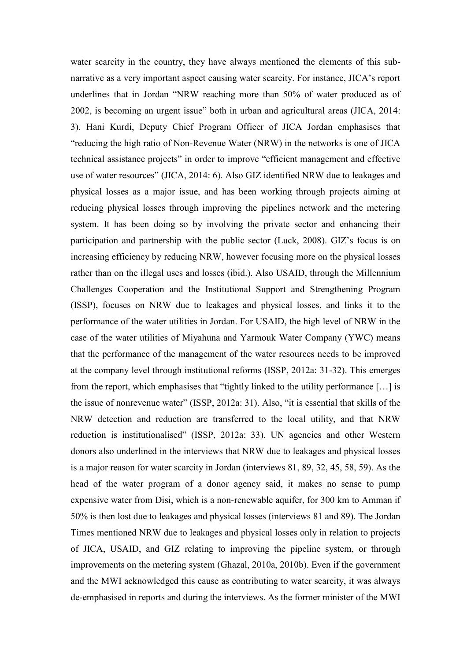water scarcity in the country, they have always mentioned the elements of this subnarrative as a very important aspect causing water scarcity. For instance, JICA's report underlines that in Jordan "NRW reaching more than 50% of water produced as of 2002, is becoming an urgent issue" both in urban and agricultural areas (JICA, 2014: 3). Hani Kurdi, Deputy Chief Program Officer of JICA Jordan emphasises that "reducing the high ratio of Non-Revenue Water (NRW) in the networks is one of JICA technical assistance projects" in order to improve "efficient management and effective use of water resources" (JICA, 2014: 6). Also GIZ identified NRW due to leakages and physical losses as a major issue, and has been working through projects aiming at reducing physical losses through improving the pipelines network and the metering system. It has been doing so by involving the private sector and enhancing their participation and partnership with the public sector (Luck, 2008). GIZ's focus is on increasing efficiency by reducing NRW, however focusing more on the physical losses rather than on the illegal uses and losses (ibid.). Also USAID, through the Millennium Challenges Cooperation and the Institutional Support and Strengthening Program (ISSP), focuses on NRW due to leakages and physical losses, and links it to the performance of the water utilities in Jordan. For USAID, the high level of NRW in the case of the water utilities of Miyahuna and Yarmouk Water Company (YWC) means that the performance of the management of the water resources needs to be improved at the company level through institutional reforms (ISSP, 2012a: 31-32). This emerges from the report, which emphasises that "tightly linked to the utility performance […] is the issue of nonrevenue water" (ISSP, 2012a: 31). Also, "it is essential that skills of the NRW detection and reduction are transferred to the local utility, and that NRW reduction is institutionalised" (ISSP, 2012a: 33). UN agencies and other Western donors also underlined in the interviews that NRW due to leakages and physical losses is a major reason for water scarcity in Jordan (interviews 81, 89, 32, 45, 58, 59). As the head of the water program of a donor agency said, it makes no sense to pump expensive water from Disi, which is a non-renewable aquifer, for 300 km to Amman if 50% is then lost due to leakages and physical losses (interviews 81 and 89). The Jordan Times mentioned NRW due to leakages and physical losses only in relation to projects of JICA, USAID, and GIZ relating to improving the pipeline system, or through improvements on the metering system (Ghazal, 2010a, 2010b). Even if the government and the MWI acknowledged this cause as contributing to water scarcity, it was always de-emphasised in reports and during the interviews. As the former minister of the MWI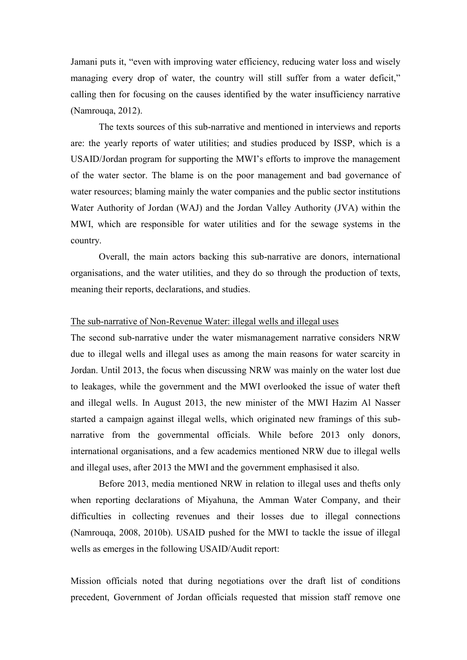Jamani puts it, "even with improving water efficiency, reducing water loss and wisely managing every drop of water, the country will still suffer from a water deficit," calling then for focusing on the causes identified by the water insufficiency narrative (Namrouqa, 2012).

The texts sources of this sub-narrative and mentioned in interviews and reports are: the yearly reports of water utilities; and studies produced by ISSP, which is a USAID/Jordan program for supporting the MWI's efforts to improve the management of the water sector. The blame is on the poor management and bad governance of water resources; blaming mainly the water companies and the public sector institutions Water Authority of Jordan (WAJ) and the Jordan Valley Authority (JVA) within the MWI, which are responsible for water utilities and for the sewage systems in the country.

Overall, the main actors backing this sub-narrative are donors, international organisations, and the water utilities, and they do so through the production of texts, meaning their reports, declarations, and studies.

## The sub-narrative of Non-Revenue Water: illegal wells and illegal uses

The second sub-narrative under the water mismanagement narrative considers NRW due to illegal wells and illegal uses as among the main reasons for water scarcity in Jordan. Until 2013, the focus when discussing NRW was mainly on the water lost due to leakages, while the government and the MWI overlooked the issue of water theft and illegal wells. In August 2013, the new minister of the MWI Hazim Al Nasser started a campaign against illegal wells, which originated new framings of this subnarrative from the governmental officials. While before 2013 only donors, international organisations, and a few academics mentioned NRW due to illegal wells and illegal uses, after 2013 the MWI and the government emphasised it also.

Before 2013, media mentioned NRW in relation to illegal uses and thefts only when reporting declarations of Miyahuna, the Amman Water Company, and their difficulties in collecting revenues and their losses due to illegal connections (Namrouqa, 2008, 2010b). USAID pushed for the MWI to tackle the issue of illegal wells as emerges in the following USAID/Audit report:

Mission officials noted that during negotiations over the draft list of conditions precedent, Government of Jordan officials requested that mission staff remove one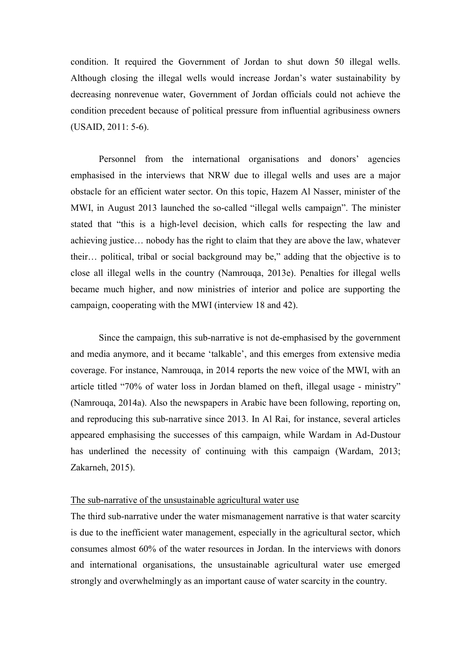condition. It required the Government of Jordan to shut down 50 illegal wells. Although closing the illegal wells would increase Jordan's water sustainability by decreasing nonrevenue water, Government of Jordan officials could not achieve the condition precedent because of political pressure from influential agribusiness owners (USAID, 2011: 5-6).

Personnel from the international organisations and donors' agencies emphasised in the interviews that NRW due to illegal wells and uses are a major obstacle for an efficient water sector. On this topic, Hazem Al Nasser, minister of the MWI, in August 2013 launched the so-called "illegal wells campaign". The minister stated that "this is a high-level decision, which calls for respecting the law and achieving justice… nobody has the right to claim that they are above the law, whatever their… political, tribal or social background may be," adding that the objective is to close all illegal wells in the country (Namrouqa, 2013e). Penalties for illegal wells became much higher, and now ministries of interior and police are supporting the campaign, cooperating with the MWI (interview 18 and 42).

Since the campaign, this sub-narrative is not de-emphasised by the government and media anymore, and it became 'talkable', and this emerges from extensive media coverage. For instance, Namrouqa, in 2014 reports the new voice of the MWI, with an article titled "70% of water loss in Jordan blamed on theft, illegal usage - ministry" (Namrouqa, 2014a). Also the newspapers in Arabic have been following, reporting on, and reproducing this sub-narrative since 2013. In Al Rai, for instance, several articles appeared emphasising the successes of this campaign, while Wardam in Ad-Dustour has underlined the necessity of continuing with this campaign (Wardam, 2013; Zakarneh, 2015).

## The sub-narrative of the unsustainable agricultural water use

The third sub-narrative under the water mismanagement narrative is that water scarcity is due to the inefficient water management, especially in the agricultural sector, which consumes almost 60% of the water resources in Jordan. In the interviews with donors and international organisations, the unsustainable agricultural water use emerged strongly and overwhelmingly as an important cause of water scarcity in the country.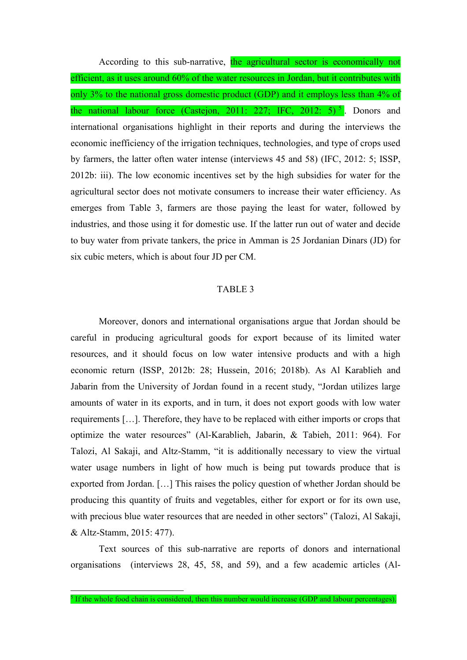According to this sub-narrative, the agricultural sector is economically not efficient, as it uses around 60% of the water resources in Jordan, but it contributes with only 3% to the national gross domestic product (GDP) and it employs less than 4% of the national labour force (Castejon, 2011: 227; IFC, 2012:  $5$ )<sup>5</sup>. Donors and international organisations highlight in their reports and during the interviews the economic inefficiency of the irrigation techniques, technologies, and type of crops used by farmers, the latter often water intense (interviews 45 and 58) (IFC, 2012: 5; ISSP, 2012b: iii). The low economic incentives set by the high subsidies for water for the agricultural sector does not motivate consumers to increase their water efficiency. As emerges from Table 3, farmers are those paying the least for water, followed by industries, and those using it for domestic use. If the latter run out of water and decide to buy water from private tankers, the price in Amman is 25 Jordanian Dinars (JD) for six cubic meters, which is about four JD per CM.

# TABLE 3

Moreover, donors and international organisations argue that Jordan should be careful in producing agricultural goods for export because of its limited water resources, and it should focus on low water intensive products and with a high economic return (ISSP, 2012b: 28; Hussein, 2016; 2018b). As Al Karablieh and Jabarin from the University of Jordan found in a recent study, "Jordan utilizes large amounts of water in its exports, and in turn, it does not export goods with low water requirements […]. Therefore, they have to be replaced with either imports or crops that optimize the water resources" (Al-Karablieh, Jabarin, & Tabieh, 2011: 964). For Talozi, Al Sakaji, and Altz-Stamm, "it is additionally necessary to view the virtual water usage numbers in light of how much is being put towards produce that is exported from Jordan. […] This raises the policy question of whether Jordan should be producing this quantity of fruits and vegetables, either for export or for its own use, with precious blue water resources that are needed in other sectors" (Talozi, Al Sakaji, & Altz-Stamm, 2015: 477).

Text sources of this sub-narrative are reports of donors and international organisations (interviews 28, 45, 58, and 59), and a few academic articles (Al-

 $\overline{a}$ 

 $<sup>5</sup>$  If the whole food chain is considered, then this number would increase (GDP and labour percentages).</sup>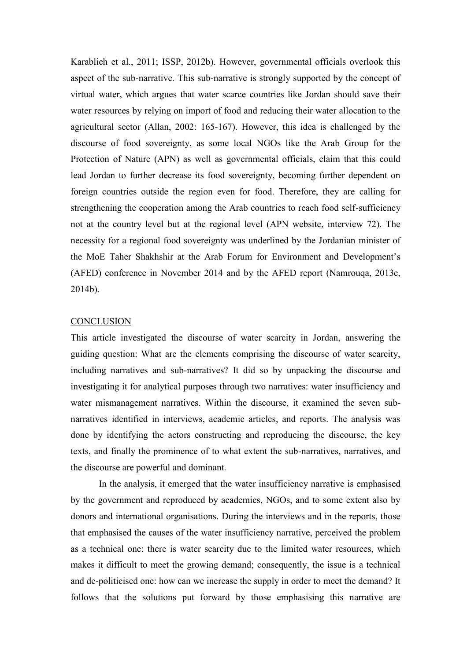Karablieh et al., 2011; ISSP, 2012b). However, governmental officials overlook this aspect of the sub-narrative. This sub-narrative is strongly supported by the concept of virtual water, which argues that water scarce countries like Jordan should save their water resources by relying on import of food and reducing their water allocation to the agricultural sector (Allan, 2002: 165-167). However, this idea is challenged by the discourse of food sovereignty, as some local NGOs like the Arab Group for the Protection of Nature (APN) as well as governmental officials, claim that this could lead Jordan to further decrease its food sovereignty, becoming further dependent on foreign countries outside the region even for food. Therefore, they are calling for strengthening the cooperation among the Arab countries to reach food self-sufficiency not at the country level but at the regional level (APN website, interview 72). The necessity for a regional food sovereignty was underlined by the Jordanian minister of the MoE Taher Shakhshir at the Arab Forum for Environment and Development's (AFED) conference in November 2014 and by the AFED report (Namrouqa, 2013c, 2014b).

## **CONCLUSION**

This article investigated the discourse of water scarcity in Jordan, answering the guiding question: What are the elements comprising the discourse of water scarcity, including narratives and sub-narratives? It did so by unpacking the discourse and investigating it for analytical purposes through two narratives: water insufficiency and water mismanagement narratives. Within the discourse, it examined the seven subnarratives identified in interviews, academic articles, and reports. The analysis was done by identifying the actors constructing and reproducing the discourse, the key texts, and finally the prominence of to what extent the sub-narratives, narratives, and the discourse are powerful and dominant.

In the analysis, it emerged that the water insufficiency narrative is emphasised by the government and reproduced by academics, NGOs, and to some extent also by donors and international organisations. During the interviews and in the reports, those that emphasised the causes of the water insufficiency narrative, perceived the problem as a technical one: there is water scarcity due to the limited water resources, which makes it difficult to meet the growing demand; consequently, the issue is a technical and de-politicised one: how can we increase the supply in order to meet the demand? It follows that the solutions put forward by those emphasising this narrative are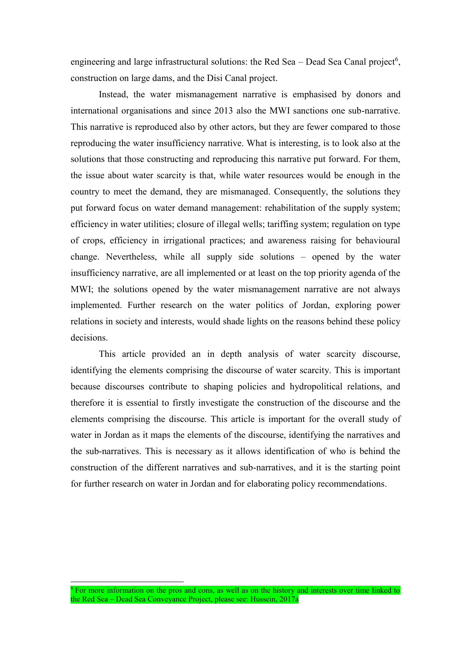engineering and large infrastructural solutions: the Red Sea  $-$  Dead Sea Canal project<sup>6</sup>, construction on large dams, and the Disi Canal project.

Instead, the water mismanagement narrative is emphasised by donors and international organisations and since 2013 also the MWI sanctions one sub-narrative. This narrative is reproduced also by other actors, but they are fewer compared to those reproducing the water insufficiency narrative. What is interesting, is to look also at the solutions that those constructing and reproducing this narrative put forward. For them, the issue about water scarcity is that, while water resources would be enough in the country to meet the demand, they are mismanaged. Consequently, the solutions they put forward focus on water demand management: rehabilitation of the supply system; efficiency in water utilities; closure of illegal wells; tariffing system; regulation on type of crops, efficiency in irrigational practices; and awareness raising for behavioural change. Nevertheless, while all supply side solutions – opened by the water insufficiency narrative, are all implemented or at least on the top priority agenda of the MWI; the solutions opened by the water mismanagement narrative are not always implemented. Further research on the water politics of Jordan, exploring power relations in society and interests, would shade lights on the reasons behind these policy decisions.

This article provided an in depth analysis of water scarcity discourse, identifying the elements comprising the discourse of water scarcity. This is important because discourses contribute to shaping policies and hydropolitical relations, and therefore it is essential to firstly investigate the construction of the discourse and the elements comprising the discourse. This article is important for the overall study of water in Jordan as it maps the elements of the discourse, identifying the narratives and the sub-narratives. This is necessary as it allows identification of who is behind the construction of the different narratives and sub-narratives, and it is the starting point for further research on water in Jordan and for elaborating policy recommendations.

 $6$  For more information on the pros and cons, as well as on the history and interests over time linked to the Red Sea – Dead Sea Conveyance Project, please see: Hussein, 2017a

l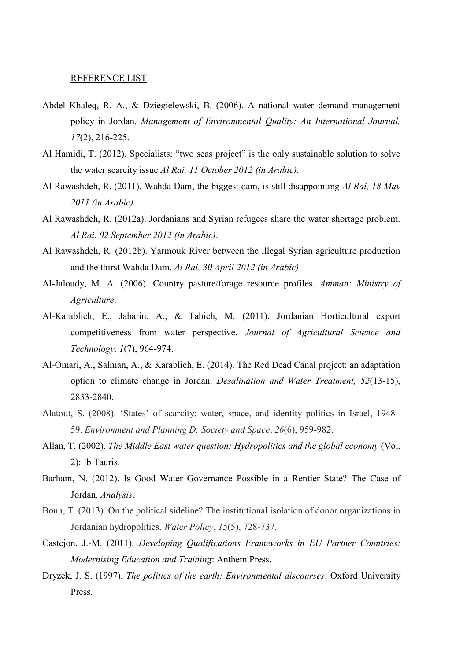### REFERENCE LIST

- Abdel Khaleq, R. A., & Dziegielewski, B. (2006). A national water demand management policy in Jordan. *Management of Environmental Quality: An International Journal, 17*(2), 216-225.
- Al Hamidi, T. (2012). Specialists: "two seas project" is the only sustainable solution to solve the water scarcity issue *Al Rai, 11 October 2012 (in Arabic)*.
- Al Rawashdeh, R. (2011). Wahda Dam, the biggest dam, is still disappointing *Al Rai, 18 May 2011 (in Arabic)*.
- Al Rawashdeh, R. (2012a). Jordanians and Syrian refugees share the water shortage problem. *Al Rai, 02 September 2012 (in Arabic)*.
- Al Rawashdeh, R. (2012b). Yarmouk River between the illegal Syrian agriculture production and the thirst Wahda Dam. *Al Rai, 30 April 2012 (in Arabic)*.
- Al-Jaloudy, M. A. (2006). Country pasture/forage resource profiles. *Amman: Ministry of Agriculture*.
- Al-Karablieh, E., Jabarin, A., & Tabieh, M. (2011). Jordanian Horticultural export competitiveness from water perspective. *Journal of Agricultural Science and Technology, 1*(7), 964-974.
- Al-Omari, A., Salman, A., & Karablieh, E. (2014). The Red Dead Canal project: an adaptation option to climate change in Jordan. *Desalination and Water Treatment, 52*(13-15), 2833-2840.
- Alatout, S. (2008). 'States' of scarcity: water, space, and identity politics in Israel, 1948– 59. *Environment and Planning D: Society and Space*, *26*(6), 959-982.
- Allan, T. (2002). *The Middle East water question: Hydropolitics and the global economy* (Vol. 2): Ib Tauris.
- Barham, N. (2012). Is Good Water Governance Possible in a Rentier State? The Case of Jordan. *Analysis*.
- Bonn, T. (2013). On the political sideline? The institutional isolation of donor organizations in Jordanian hydropolitics. *Water Policy*, *15*(5), 728-737.
- Castejon, J.-M. (2011). *Developing Qualifications Frameworks in EU Partner Countries: Modernising Education and Training*: Anthem Press.
- Dryzek, J. S. (1997). *The politics of the earth: Environmental discourses*: Oxford University Press.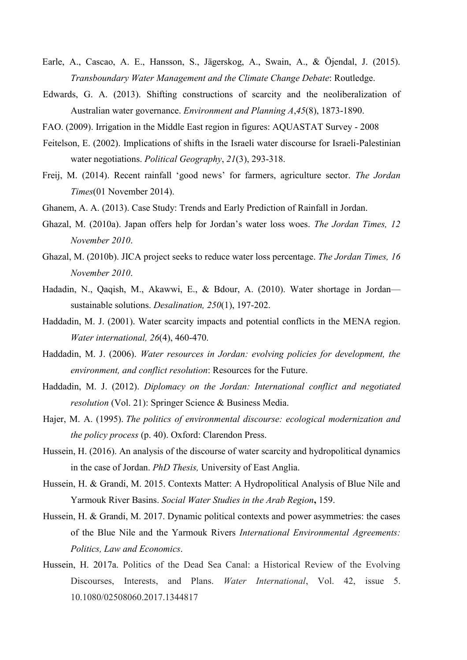- Earle, A., Cascao, A. E., Hansson, S., Jägerskog, A., Swain, A., & Öjendal, J. (2015). *Transboundary Water Management and the Climate Change Debate*: Routledge.
- Edwards, G. A. (2013). Shifting constructions of scarcity and the neoliberalization of Australian water governance. *Environment and Planning A*,*45*(8), 1873-1890.
- FAO. (2009). Irrigation in the Middle East region in figures: AQUASTAT Survey 2008
- Feitelson, E. (2002). Implications of shifts in the Israeli water discourse for Israeli-Palestinian water negotiations. *Political Geography*, *21*(3), 293-318.
- Freij, M. (2014). Recent rainfall 'good news' for farmers, agriculture sector. *The Jordan Times*(01 November 2014).
- Ghanem, A. A. (2013). Case Study: Trends and Early Prediction of Rainfall in Jordan.
- Ghazal, M. (2010a). Japan offers help for Jordan's water loss woes. *The Jordan Times, 12 November 2010*.
- Ghazal, M. (2010b). JICA project seeks to reduce water loss percentage. *The Jordan Times, 16 November 2010*.
- Hadadin, N., Qaqish, M., Akawwi, E., & Bdour, A. (2010). Water shortage in Jordan sustainable solutions. *Desalination, 250*(1), 197-202.
- Haddadin, M. J. (2001). Water scarcity impacts and potential conflicts in the MENA region. *Water international, 26*(4), 460-470.
- Haddadin, M. J. (2006). *Water resources in Jordan: evolving policies for development, the environment, and conflict resolution*: Resources for the Future.
- Haddadin, M. J. (2012). *Diplomacy on the Jordan: International conflict and negotiated resolution* (Vol. 21): Springer Science & Business Media.
- Hajer, M. A. (1995). *The politics of environmental discourse: ecological modernization and the policy process* (p. 40). Oxford: Clarendon Press.
- Hussein, H. (2016). An analysis of the discourse of water scarcity and hydropolitical dynamics in the case of Jordan. *PhD Thesis,* University of East Anglia.
- Hussein, H. & Grandi, M. 2015. Contexts Matter: A Hydropolitical Analysis of Blue Nile and Yarmouk River Basins. *Social Water Studies in the Arab Region***,** 159.
- Hussein, H. & Grandi, M. 2017. Dynamic political contexts and power asymmetries: the cases of the Blue Nile and the Yarmouk Rivers *International Environmental Agreements: Politics, Law and Economics*.
- Hussein, H. 2017a. Politics of the Dead Sea Canal: a Historical Review of the Evolving Discourses, Interests, and Plans. *Water International*, Vol. 42, issue 5. 10.1080/02508060.2017.1344817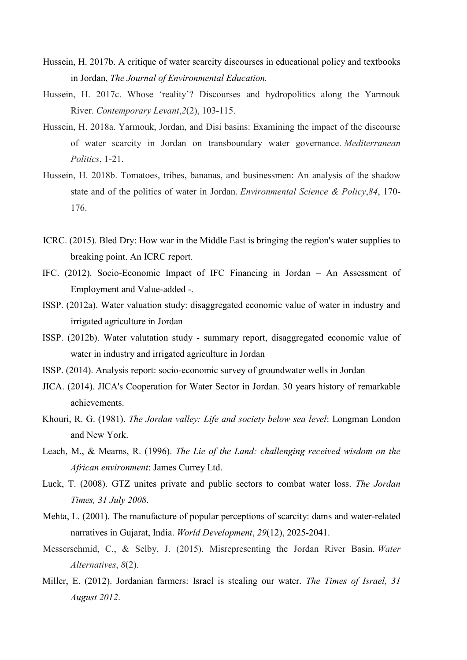- Hussein, H. 2017b. A critique of water scarcity discourses in educational policy and textbooks in Jordan, *The Journal of Environmental Education.*
- Hussein, H. 2017c. Whose 'reality'? Discourses and hydropolitics along the Yarmouk River. *Contemporary Levant*,*2*(2), 103-115.
- Hussein, H. 2018a. Yarmouk, Jordan, and Disi basins: Examining the impact of the discourse of water scarcity in Jordan on transboundary water governance. *Mediterranean Politics*, 1-21.
- Hussein, H. 2018b. Tomatoes, tribes, bananas, and businessmen: An analysis of the shadow state and of the politics of water in Jordan. *Environmental Science & Policy*,*84*, 170- 176.
- ICRC. (2015). Bled Dry: How war in the Middle East is bringing the region's water supplies to breaking point. An ICRC report.
- IFC. (2012). Socio-Economic Impact of IFC Financing in Jordan An Assessment of Employment and Value-added -.
- ISSP. (2012a). Water valuation study: disaggregated economic value of water in industry and irrigated agriculture in Jordan
- ISSP. (2012b). Water valutation study summary report, disaggregated economic value of water in industry and irrigated agriculture in Jordan
- ISSP. (2014). Analysis report: socio-economic survey of groundwater wells in Jordan
- JICA. (2014). JICA's Cooperation for Water Sector in Jordan. 30 years history of remarkable achievements.
- Khouri, R. G. (1981). *The Jordan valley: Life and society below sea level*: Longman London and New York.
- Leach, M., & Mearns, R. (1996). *The Lie of the Land: challenging received wisdom on the African environment*: James Currey Ltd.
- Luck, T. (2008). GTZ unites private and public sectors to combat water loss. *The Jordan Times, 31 July 2008*.
- Mehta, L. (2001). The manufacture of popular perceptions of scarcity: dams and water-related narratives in Gujarat, India. *World Development*, *29*(12), 2025-2041.
- Messerschmid, C., & Selby, J. (2015). Misrepresenting the Jordan River Basin. *Water Alternatives*, *8*(2).
- Miller, E. (2012). Jordanian farmers: Israel is stealing our water. *The Times of Israel, 31 August 2012*.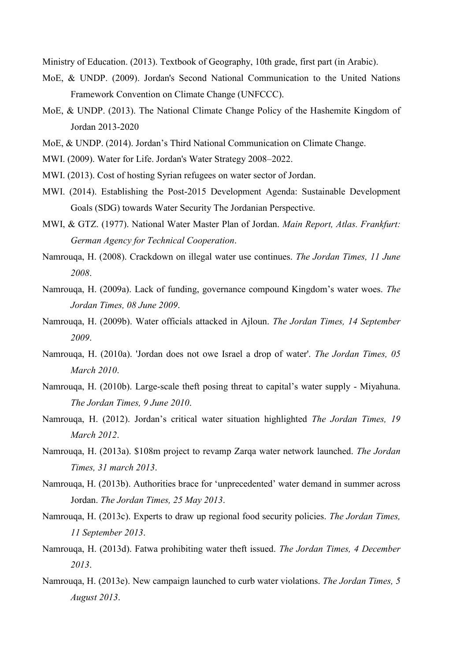Ministry of Education. (2013). Textbook of Geography, 10th grade, first part (in Arabic).

- MoE, & UNDP. (2009). Jordan's Second National Communication to the United Nations Framework Convention on Climate Change (UNFCCC).
- MoE, & UNDP. (2013). The National Climate Change Policy of the Hashemite Kingdom of Jordan 2013-2020
- MoE, & UNDP. (2014). Jordan's Third National Communication on Climate Change.
- MWI. (2009). Water for Life. Jordan's Water Strategy 2008–2022.
- MWI. (2013). Cost of hosting Syrian refugees on water sector of Jordan.
- MWI. (2014). Establishing the Post-2015 Development Agenda: Sustainable Development Goals (SDG) towards Water Security The Jordanian Perspective.
- MWI, & GTZ. (1977). National Water Master Plan of Jordan. *Main Report, Atlas. Frankfurt: German Agency for Technical Cooperation*.
- Namrouqa, H. (2008). Crackdown on illegal water use continues. *The Jordan Times, 11 June 2008*.
- Namrouqa, H. (2009a). Lack of funding, governance compound Kingdom's water woes. *The Jordan Times, 08 June 2009*.
- Namrouqa, H. (2009b). Water officials attacked in Ajloun. *The Jordan Times, 14 September 2009*.
- Namrouqa, H. (2010a). 'Jordan does not owe Israel a drop of water'. *The Jordan Times, 05 March 2010*.
- Namrouqa, H. (2010b). Large-scale theft posing threat to capital's water supply Miyahuna. *The Jordan Times, 9 June 2010*.
- Namrouqa, H. (2012). Jordan's critical water situation highlighted *The Jordan Times, 19 March 2012*.
- Namrouqa, H. (2013a). \$108m project to revamp Zarqa water network launched. *The Jordan Times, 31 march 2013*.
- Namrouqa, H. (2013b). Authorities brace for 'unprecedented' water demand in summer across Jordan. *The Jordan Times, 25 May 2013*.
- Namrouqa, H. (2013c). Experts to draw up regional food security policies. *The Jordan Times, 11 September 2013*.
- Namrouqa, H. (2013d). Fatwa prohibiting water theft issued. *The Jordan Times, 4 December 2013*.
- Namrouqa, H. (2013e). New campaign launched to curb water violations. *The Jordan Times, 5 August 2013*.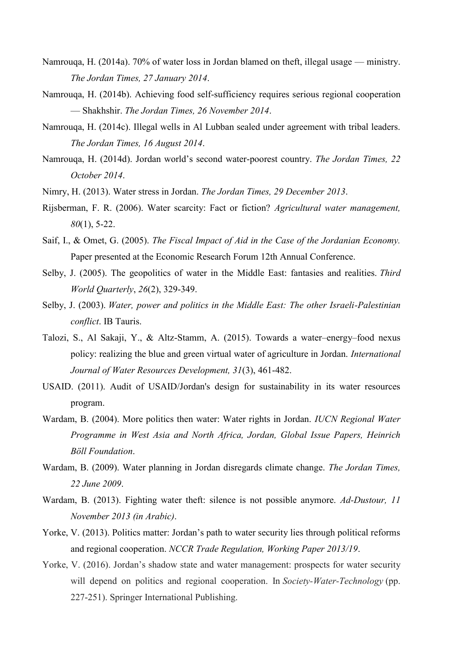- Namrouqa, H. (2014a). 70% of water loss in Jordan blamed on theft, illegal usage ministry. *The Jordan Times, 27 January 2014*.
- Namrouqa, H. (2014b). Achieving food self-sufficiency requires serious regional cooperation — Shakhshir. *The Jordan Times, 26 November 2014*.
- Namrouqa, H. (2014c). Illegal wells in Al Lubban sealed under agreement with tribal leaders. *The Jordan Times, 16 August 2014*.
- Namrouqa, H. (2014d). Jordan world's second water-poorest country. *The Jordan Times, 22 October 2014*.
- Nimry, H. (2013). Water stress in Jordan. *The Jordan Times, 29 December 2013*.
- Rijsberman, F. R. (2006). Water scarcity: Fact or fiction? *Agricultural water management, 80*(1), 5-22.
- Saif, I., & Omet, G. (2005). *The Fiscal Impact of Aid in the Case of the Jordanian Economy.* Paper presented at the Economic Research Forum 12th Annual Conference.
- Selby, J. (2005). The geopolitics of water in the Middle East: fantasies and realities. *Third World Quarterly*, *26*(2), 329-349.
- Selby, J. (2003). *Water, power and politics in the Middle East: The other Israeli-Palestinian conflict*. IB Tauris.
- Talozi, S., Al Sakaji, Y., & Altz-Stamm, A. (2015). Towards a water–energy–food nexus policy: realizing the blue and green virtual water of agriculture in Jordan. *International Journal of Water Resources Development, 31*(3), 461-482.
- USAID. (2011). Audit of USAID/Jordan's design for sustainability in its water resources program.
- Wardam, B. (2004). More politics then water: Water rights in Jordan. *IUCN Regional Water Programme in West Asia and North Africa, Jordan, Global Issue Papers, Heinrich Böll Foundation*.
- Wardam, B. (2009). Water planning in Jordan disregards climate change. *The Jordan Times, 22 June 2009*.
- Wardam, B. (2013). Fighting water theft: silence is not possible anymore. *Ad-Dustour, 11 November 2013 (in Arabic)*.
- Yorke, V. (2013). Politics matter: Jordan's path to water security lies through political reforms and regional cooperation. *NCCR Trade Regulation, Working Paper 2013/19*.
- Yorke, V. (2016). Jordan's shadow state and water management: prospects for water security will depend on politics and regional cooperation. In *Society-Water-Technology* (pp. 227-251). Springer International Publishing.